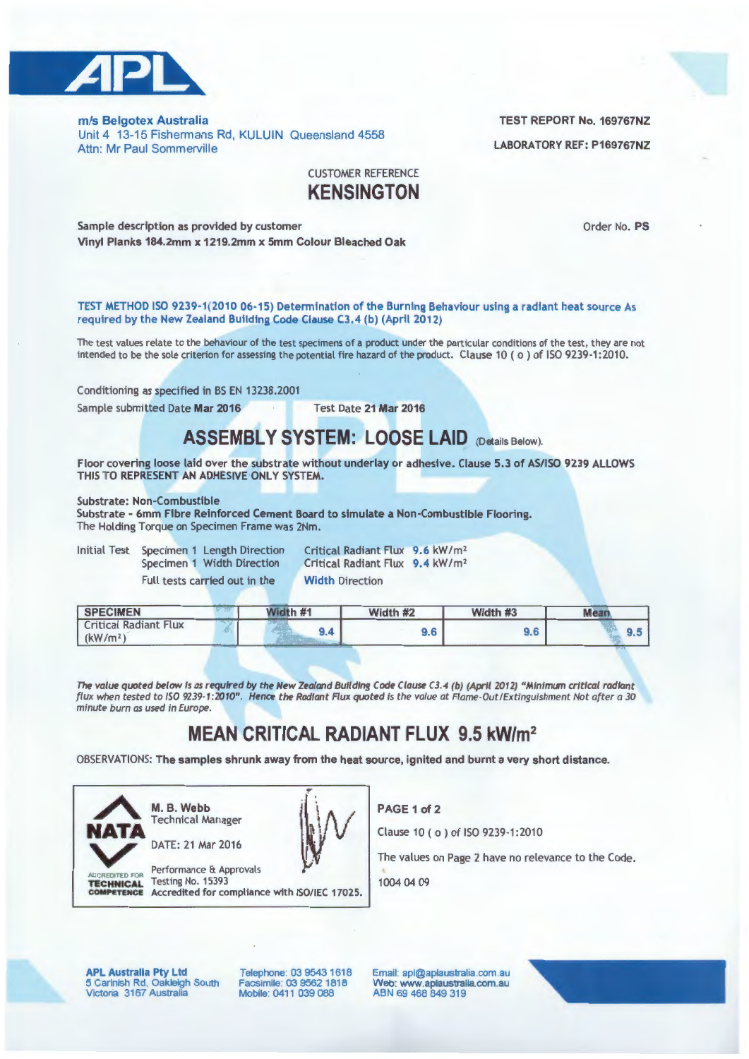

*mis* Belgotex Australia TEST REPORT No. 169767NZ Unit 4 13-15 Fishermans Rd, KULUIN Queensland 4558 Attn: Mr Paul Sommerville

## CUSTOMER REFERENCE **KENSINGTON**

Sample description as provided by customer Communication and Communication of the Order No. PS Vinyl Planks 184.2mm x 1219.2mm x 5mm Colour Bleached Oak

TEST METHOD ISO 9239-1 (2010 06-15) Determination of the Burning Behaviour using a radiant heat source As required by the New Zealand Building Code Clause C3.4 (b) (April 2012)

The test values relate to the behaviour of the test specimens of a product under the particular conditions of the test, they are not intended to be the sole criterion for assessing the potential fire hazard of the product. Clause 10 ( o ) of ISO 9239-1:2010.

Conditioning as specified in BS EN 13238.2001

Sample submitted Date Mar 2016 Test Date 21 Mar 2016

## **ASSEMBLY SYSTEM: LOOSE LAID** (Details Below).

Floor covering loose laid over the substrate without underlay or adhesive. Clause 5.3 of AS/ISO 9239 ALLOWS THIS TO REPRESENT AN ADHESIVE ONLY SYSTEM.

Substrate: Non-Combustible

Substrate - 6mm Fibre Reinforced Cement Board to simulate a Non-Combustible Flooring. The Holding Torque on Specimen Frame was 2Nm.

Initial Test Specimen 1 Length Direction Specimen 1 Width Direction Full tests carried out in the

Critical Radiant Flux 9.6 kW/m<sup>2</sup> Critical Radiant Flux 9.4 kW/m<sup>2</sup> Width Direction

| <b>SPECIMEN</b>                                      |                      | Nidth #1 | Width #2 | Width #3 | Mea. |  |  |
|------------------------------------------------------|----------------------|----------|----------|----------|------|--|--|
| <b>Critical Radiant Flux</b><br>(kW/m <sup>2</sup> ) | the American Company |          | 9.6      | 9.6      | ສ.ວ  |  |  |

*The* value quoted below is as required by the New Zealand Building Code Clause C3.4 (b) (April 2012) "Minimum critical radiant flux when tested to ISO 9239-1:2010". Hence the Radiant Flux quoted is the value at Flame-Out/Extinguishment Not after a 30 minute burn as used in Europe.

## **MEAN CRITICAL RADIANT FLUX 9.5 kW/m<sup>2</sup>**

OBSERVATIONS: The samples shrunk away from the heat source, ignited and burnt a very short distance.



**Technical Manager<br>
DATE: 21 Mar 2016** 



Performance & Approvals TECHNICAL Testing No. 15393 COMPETENCE Accredited for compliance with ISO/IEC 17025. PAGE 1 of 2

Clause 10 ( o) of ISO 9239-1:2010

The values on Page 2 have no relevance to the Code.

1004 04 09

APL Australia Pty Ltd 5 Carlnish Rd, Oakleigh South<br>Victoria 3167 Australia

Telephone: 03 9543 1618 Facsimile: 03 9562 1818 Mobile: 0411 039 088

Email: apl@aplaustraha.com.au Web: www.aplaustralia.com.au ABN 69 468 849 319